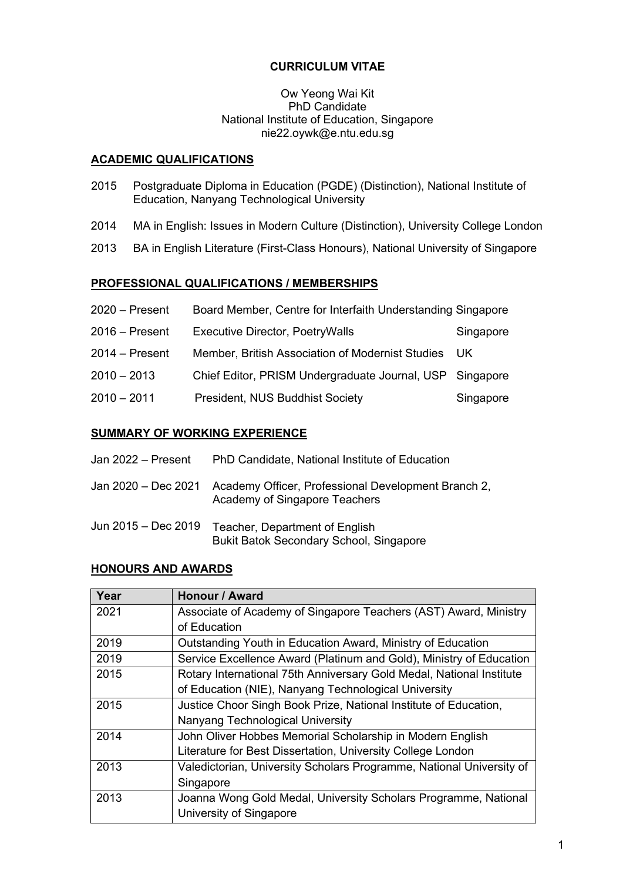# **CURRICULUM VITAE**

## Ow Yeong Wai Kit PhD Candidate National Institute of Education, Singapore nie22.oywk@e.ntu.edu.sg

# **ACADEMIC QUALIFICATIONS**

- 2015 Postgraduate Diploma in Education (PGDE) (Distinction), National Institute of Education, Nanyang Technological University
- 2014 MA in English: Issues in Modern Culture (Distinction), University College London
- 2013 BA in English Literature (First-Class Honours), National University of Singapore

# **PROFESSIONAL QUALIFICATIONS / MEMBERSHIPS**

| $2020 -$ Present | Board Member, Centre for Interfaith Understanding Singapore |           |
|------------------|-------------------------------------------------------------|-----------|
| $2016 -$ Present | <b>Executive Director, PoetryWalls</b>                      | Singapore |
| $2014 -$ Present | Member, British Association of Modernist Studies            | UK.       |
| $2010 - 2013$    | Chief Editor, PRISM Undergraduate Journal, USP Singapore    |           |
| $2010 - 2011$    | President, NUS Buddhist Society                             | Singapore |

# **SUMMARY OF WORKING EXPERIENCE**

| Jan 2022 - Present  | PhD Candidate, National Institute of Education                                       |
|---------------------|--------------------------------------------------------------------------------------|
| Jan 2020 - Dec 2021 | Academy Officer, Professional Development Branch 2,<br>Academy of Singapore Teachers |
| Jun 2015 - Dec 2019 | Teacher, Department of English<br><b>Bukit Batok Secondary School, Singapore</b>     |

# **HONOURS AND AWARDS**

| Year | <b>Honour / Award</b>                                                |  |
|------|----------------------------------------------------------------------|--|
| 2021 | Associate of Academy of Singapore Teachers (AST) Award, Ministry     |  |
|      | of Education                                                         |  |
| 2019 | Outstanding Youth in Education Award, Ministry of Education          |  |
| 2019 | Service Excellence Award (Platinum and Gold), Ministry of Education  |  |
| 2015 | Rotary International 75th Anniversary Gold Medal, National Institute |  |
|      | of Education (NIE), Nanyang Technological University                 |  |
| 2015 | Justice Choor Singh Book Prize, National Institute of Education,     |  |
|      | Nanyang Technological University                                     |  |
| 2014 | John Oliver Hobbes Memorial Scholarship in Modern English            |  |
|      | Literature for Best Dissertation, University College London          |  |
| 2013 | Valedictorian, University Scholars Programme, National University of |  |
|      | Singapore                                                            |  |
| 2013 | Joanna Wong Gold Medal, University Scholars Programme, National      |  |
|      | University of Singapore                                              |  |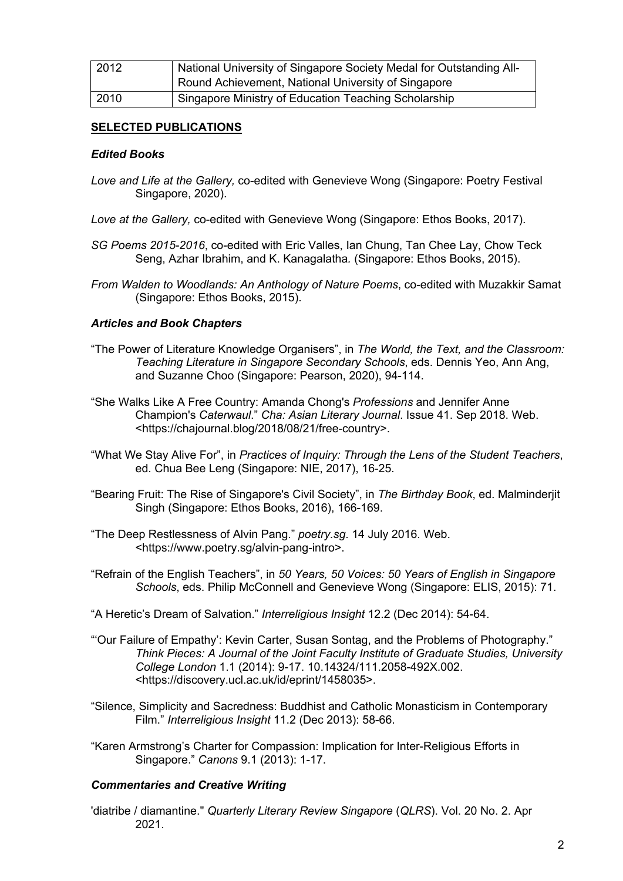| 2012 | National University of Singapore Society Medal for Outstanding All- |
|------|---------------------------------------------------------------------|
|      | Round Achievement, National University of Singapore                 |
| 2010 | Singapore Ministry of Education Teaching Scholarship                |

# **SELECTED PUBLICATIONS**

# *Edited Books*

- *Love and Life at the Gallery,* co-edited with Genevieve Wong (Singapore: Poetry Festival Singapore, 2020).
- *Love at the Gallery,* co-edited with Genevieve Wong (Singapore: Ethos Books, 2017).
- *SG Poems 2015-2016*, co-edited with Eric Valles, Ian Chung, Tan Chee Lay, Chow Teck Seng, Azhar Ibrahim, and K. Kanagalatha*.* (Singapore: Ethos Books, 2015).
- *From Walden to Woodlands: An Anthology of Nature Poems*, co-edited with Muzakkir Samat (Singapore: Ethos Books, 2015).

## *Articles and Book Chapters*

- "The Power of Literature Knowledge Organisers", in *The World, the Text, and the Classroom: Teaching Literature in Singapore Secondary Schools*, eds. Dennis Yeo, Ann Ang, and Suzanne Choo (Singapore: Pearson, 2020), 94-114.
- "She Walks Like A Free Country: Amanda Chong's *Professions* and Jennifer Anne Champion's *Caterwaul*." *Cha: Asian Literary Journal*. Issue 41. Sep 2018. Web. <https://chajournal.blog/2018/08/21/free-country>.
- "What We Stay Alive For", in *Practices of Inquiry: Through the Lens of the Student Teachers*, ed. Chua Bee Leng (Singapore: NIE, 2017), 16-25.
- "Bearing Fruit: The Rise of Singapore's Civil Society", in *The Birthday Book*, ed. Malminderjit Singh (Singapore: Ethos Books, 2016), 166-169.
- "The Deep Restlessness of Alvin Pang." *poetry.sg*. 14 July 2016. Web. <https://www.poetry.sg/alvin-pang-intro>.
- "Refrain of the English Teachers", in *50 Years, 50 Voices: 50 Years of English in Singapore Schools*, eds. Philip McConnell and Genevieve Wong (Singapore: ELIS, 2015): 71.
- "A Heretic's Dream of Salvation." *Interreligious Insight* 12.2 (Dec 2014): 54-64.
- "'Our Failure of Empathy': Kevin Carter, Susan Sontag, and the Problems of Photography." *Think Pieces: A Journal of the Joint Faculty Institute of Graduate Studies, University College London* 1.1 (2014): 9-17. 10.14324/111.2058-492X.002. <https://discovery.ucl.ac.uk/id/eprint/1458035>.
- "Silence, Simplicity and Sacredness: Buddhist and Catholic Monasticism in Contemporary Film." *Interreligious Insight* 11.2 (Dec 2013): 58-66.
- "Karen Armstrong's Charter for Compassion: Implication for Inter-Religious Efforts in Singapore." *Canons* 9.1 (2013): 1-17.

## *Commentaries and Creative Writing*

'diatribe / diamantine." *Quarterly Literary Review Singapore* (*QLRS*). Vol. 20 No. 2. Apr 2021.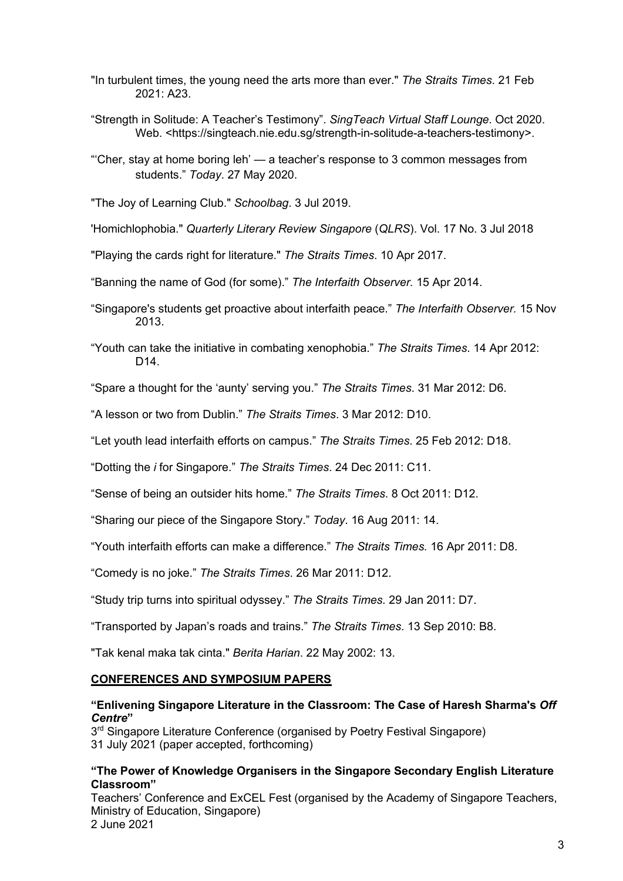- "In turbulent times, the young need the arts more than ever." *The Straits Times*. 21 Feb 2021: A23.
- "Strength in Solitude: A Teacher's Testimony". *SingTeach Virtual Staff Lounge*. Oct 2020. Web. <https://singteach.nie.edu.sg/strength-in-solitude-a-teachers-testimony>.
- "'Cher, stay at home boring leh' a teacher's response to 3 common messages from students." *Today*. 27 May 2020.

"The Joy of Learning Club." *Schoolbag*. 3 Jul 2019.

'Homichlophobia." *Quarterly Literary Review Singapore* (*QLRS*). Vol. 17 No. 3 Jul 2018

"Playing the cards right for literature." *The Straits Times*. 10 Apr 2017.

"Banning the name of God (for some)." *The Interfaith Observer.* 15 Apr 2014.

- "Singapore's students get proactive about interfaith peace." *The Interfaith Observer.* 15 Nov 2013.
- "Youth can take the initiative in combating xenophobia." *The Straits Times*. 14 Apr 2012: D14.

"Spare a thought for the 'aunty' serving you." *The Straits Times*. 31 Mar 2012: D6.

"A lesson or two from Dublin." *The Straits Times*. 3 Mar 2012: D10.

"Let youth lead interfaith efforts on campus." *The Straits Times*. 25 Feb 2012: D18.

"Dotting the *i* for Singapore." *The Straits Times*. 24 Dec 2011: C11.

"Sense of being an outsider hits home." *The Straits Times*. 8 Oct 2011: D12.

"Sharing our piece of the Singapore Story." *Today*. 16 Aug 2011: 14.

"Youth interfaith efforts can make a difference." *The Straits Times.* 16 Apr 2011: D8.

"Comedy is no joke." *The Straits Times*. 26 Mar 2011: D12.

"Study trip turns into spiritual odyssey." *The Straits Times.* 29 Jan 2011: D7.

"Transported by Japan's roads and trains." *The Straits Times*. 13 Sep 2010: B8.

"Tak kenal maka tak cinta." *Berita Harian*. 22 May 2002: 13.

#### **CONFERENCES AND SYMPOSIUM PAPERS**

## **"Enlivening Singapore Literature in the Classroom: The Case of Haresh Sharma's** *Off Centre***"**

 $3<sup>rd</sup>$  Singapore Literature Conference (organised by Poetry Festival Singapore) 31 July 2021 (paper accepted, forthcoming)

#### **"The Power of Knowledge Organisers in the Singapore Secondary English Literature Classroom"**

Teachers' Conference and ExCEL Fest (organised by the Academy of Singapore Teachers, Ministry of Education, Singapore) 2 June 2021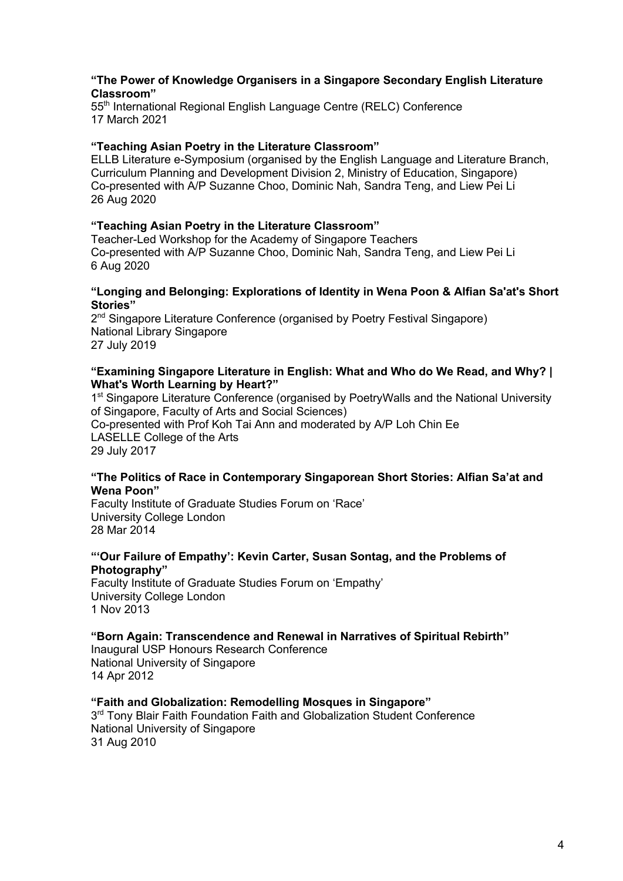### **"The Power of Knowledge Organisers in a Singapore Secondary English Literature Classroom"**

55<sup>th</sup> International Regional English Language Centre (RELC) Conference 17 March 2021

#### **"Teaching Asian Poetry in the Literature Classroom"**

ELLB Literature e-Symposium (organised by the English Language and Literature Branch, Curriculum Planning and Development Division 2, Ministry of Education, Singapore) Co-presented with A/P Suzanne Choo, Dominic Nah, Sandra Teng, and Liew Pei Li 26 Aug 2020

#### **"Teaching Asian Poetry in the Literature Classroom"**

Teacher-Led Workshop for the Academy of Singapore Teachers Co-presented with A/P Suzanne Choo, Dominic Nah, Sandra Teng, and Liew Pei Li 6 Aug 2020

#### **"Longing and Belonging: Explorations of Identity in Wena Poon & Alfian Sa'at's Short Stories"**

2<sup>nd</sup> Singapore Literature Conference (organised by Poetry Festival Singapore) National Library Singapore 27 July 2019

#### **"Examining Singapore Literature in English: What and Who do We Read, and Why? | What's Worth Learning by Heart?"**

1<sup>st</sup> Singapore Literature Conference (organised by PoetryWalls and the National University of Singapore, Faculty of Arts and Social Sciences) Co-presented with Prof Koh Tai Ann and moderated by A/P Loh Chin Ee LASELLE College of the Arts 29 July 2017

#### **"The Politics of Race in Contemporary Singaporean Short Stories: Alfian Sa'at and Wena Poon"**

Faculty Institute of Graduate Studies Forum on 'Race' University College London 28 Mar 2014

## **"'Our Failure of Empathy': Kevin Carter, Susan Sontag, and the Problems of Photography"**

Faculty Institute of Graduate Studies Forum on 'Empathy' University College London 1 Nov 2013

### **"Born Again: Transcendence and Renewal in Narratives of Spiritual Rebirth"**

Inaugural USP Honours Research Conference National University of Singapore 14 Apr 2012

#### **"Faith and Globalization: Remodelling Mosques in Singapore"**

3<sup>rd</sup> Tony Blair Faith Foundation Faith and Globalization Student Conference National University of Singapore 31 Aug 2010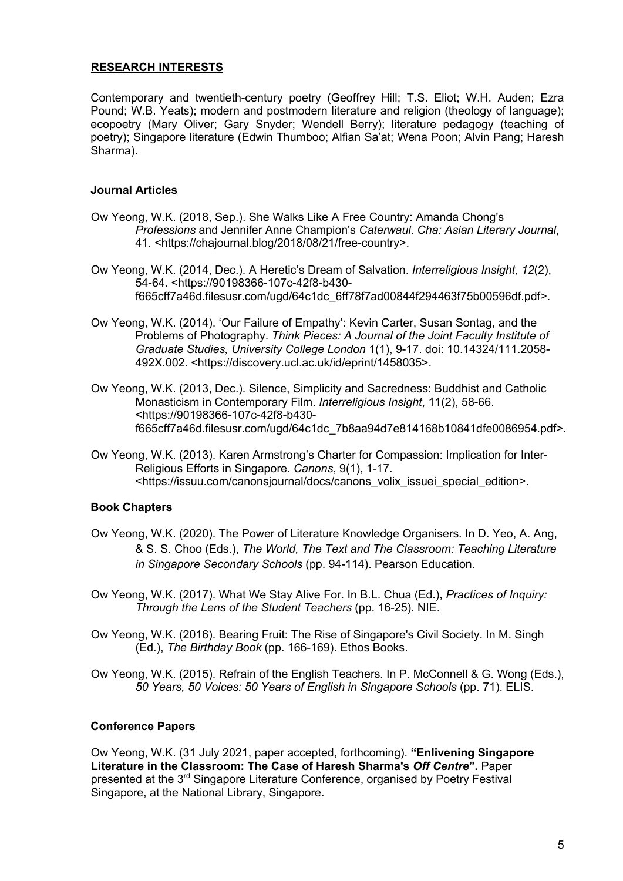# **RESEARCH INTERESTS**

Contemporary and twentieth-century poetry (Geoffrey Hill; T.S. Eliot; W.H. Auden; Ezra Pound; W.B. Yeats); modern and postmodern literature and religion (theology of language); ecopoetry (Mary Oliver; Gary Snyder; Wendell Berry); literature pedagogy (teaching of poetry); Singapore literature (Edwin Thumboo; Alfian Sa'at; Wena Poon; Alvin Pang; Haresh Sharma).

# **Journal Articles**

- Ow Yeong, W.K. (2018, Sep.). She Walks Like A Free Country: Amanda Chong's *Professions* and Jennifer Anne Champion's *Caterwaul*. *Cha: Asian Literary Journal*, 41. <https://chajournal.blog/2018/08/21/free-country>.
- Ow Yeong, W.K. (2014, Dec.). A Heretic's Dream of Salvation. *Interreligious Insight, 12*(2), 54-64. <https://90198366-107c-42f8-b430 f665cff7a46d.filesusr.com/ugd/64c1dc\_6ff78f7ad00844f294463f75b00596df.pdf>.
- Ow Yeong, W.K. (2014). 'Our Failure of Empathy': Kevin Carter, Susan Sontag, and the Problems of Photography. *Think Pieces: A Journal of the Joint Faculty Institute of Graduate Studies, University College London* 1(1), 9-17. doi: 10.14324/111.2058- 492X.002. <https://discovery.ucl.ac.uk/id/eprint/1458035>.
- Ow Yeong, W.K. (2013, Dec.). Silence, Simplicity and Sacredness: Buddhist and Catholic Monasticism in Contemporary Film. *Interreligious Insight*, 11(2), 58-66. <https://90198366-107c-42f8-b430 f665cff7a46d.filesusr.com/ugd/64c1dc\_7b8aa94d7e814168b10841dfe0086954.pdf>.
- Ow Yeong, W.K. (2013). Karen Armstrong's Charter for Compassion: Implication for Inter-Religious Efforts in Singapore. *Canons*, 9(1), 1-17. <https://issuu.com/canonsjournal/docs/canons\_volix\_issuei\_special\_edition>.

# **Book Chapters**

- Ow Yeong, W.K. (2020). The Power of Literature Knowledge Organisers. In D. Yeo, A. Ang, & S. S. Choo (Eds.), *The World, The Text and The Classroom: Teaching Literature in Singapore Secondary Schools* (pp. 94-114). Pearson Education.
- Ow Yeong, W.K. (2017). What We Stay Alive For. In B.L. Chua (Ed.), *Practices of Inquiry: Through the Lens of the Student Teachers* (pp. 16-25). NIE.
- Ow Yeong, W.K. (2016). Bearing Fruit: The Rise of Singapore's Civil Society. In M. Singh (Ed.), *The Birthday Book* (pp. 166-169). Ethos Books.

Ow Yeong, W.K. (2015). Refrain of the English Teachers. In P. McConnell & G. Wong (Eds.), *50 Years, 50 Voices: 50 Years of English in Singapore Schools* (pp. 71). ELIS.

## **Conference Papers**

Ow Yeong, W.K. (31 July 2021, paper accepted, forthcoming). **"Enlivening Singapore Literature in the Classroom: The Case of Haresh Sharma's** *Off Centre***".** Paper presented at the 3<sup>rd</sup> Singapore Literature Conference, organised by Poetry Festival Singapore, at the National Library, Singapore.